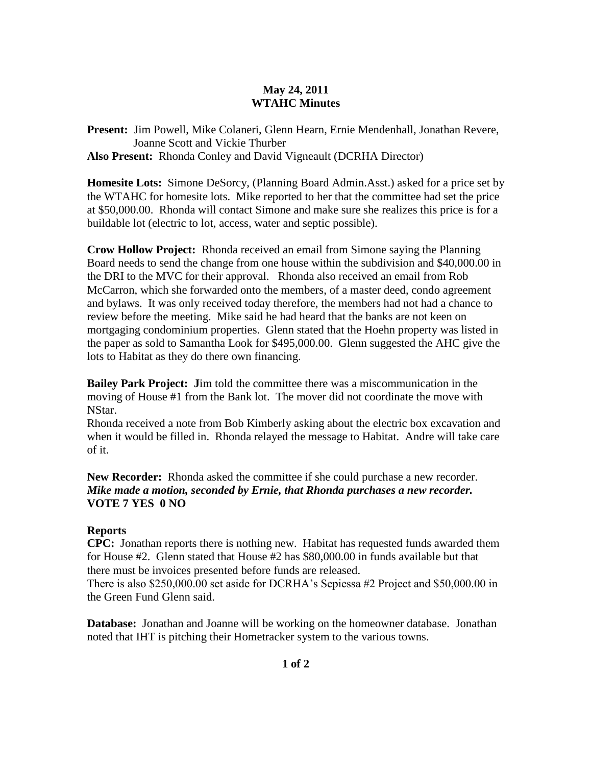## **May 24, 2011 WTAHC Minutes**

**Present:** Jim Powell, Mike Colaneri, Glenn Hearn, Ernie Mendenhall, Jonathan Revere, Joanne Scott and Vickie Thurber **Also Present:** Rhonda Conley and David Vigneault (DCRHA Director)

**Homesite Lots:** Simone DeSorcy, (Planning Board Admin.Asst.) asked for a price set by the WTAHC for homesite lots. Mike reported to her that the committee had set the price at \$50,000.00. Rhonda will contact Simone and make sure she realizes this price is for a buildable lot (electric to lot, access, water and septic possible).

**Crow Hollow Project:** Rhonda received an email from Simone saying the Planning Board needs to send the change from one house within the subdivision and \$40,000.00 in the DRI to the MVC for their approval. Rhonda also received an email from Rob McCarron, which she forwarded onto the members, of a master deed, condo agreement and bylaws. It was only received today therefore, the members had not had a chance to review before the meeting. Mike said he had heard that the banks are not keen on mortgaging condominium properties. Glenn stated that the Hoehn property was listed in the paper as sold to Samantha Look for \$495,000.00. Glenn suggested the AHC give the lots to Habitat as they do there own financing.

**Bailey Park Project: J**im told the committee there was a miscommunication in the moving of House #1 from the Bank lot. The mover did not coordinate the move with NStar.

Rhonda received a note from Bob Kimberly asking about the electric box excavation and when it would be filled in. Rhonda relayed the message to Habitat. Andre will take care of it.

**New Recorder:** Rhonda asked the committee if she could purchase a new recorder. *Mike made a motion, seconded by Ernie, that Rhonda purchases a new recorder.*  **VOTE 7 YES 0 NO**

## **Reports**

**CPC:** Jonathan reports there is nothing new. Habitat has requested funds awarded them for House #2. Glenn stated that House #2 has \$80,000.00 in funds available but that there must be invoices presented before funds are released.

There is also \$250,000.00 set aside for DCRHA's Sepiessa #2 Project and \$50,000.00 in the Green Fund Glenn said.

**Database:** Jonathan and Joanne will be working on the homeowner database. Jonathan noted that IHT is pitching their Hometracker system to the various towns.